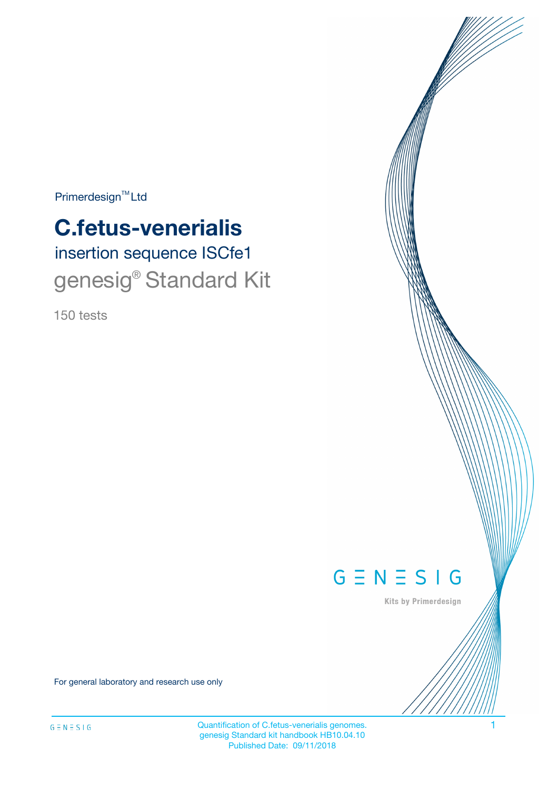$Primerdesign^{\text{TM}}Ltd$ 

# **C.fetus-venerialis**

insertion sequence ISCfe1 genesig<sup>®</sup> Standard Kit

150 tests



Kits by Primerdesign

For general laboratory and research use only

Quantification of C.fetus-venerialis genomes. 1 genesig Standard kit handbook HB10.04.10 Published Date: 09/11/2018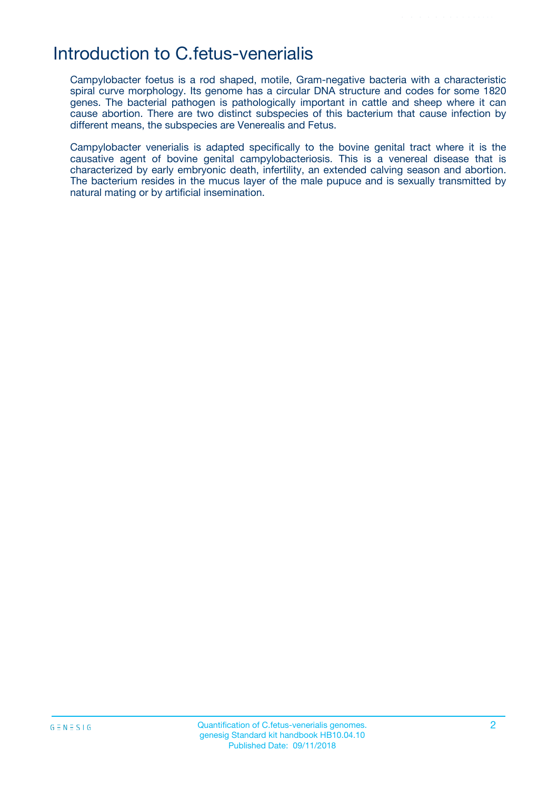### Introduction to C.fetus-venerialis

Campylobacter foetus is a rod shaped, motile, Gram-negative bacteria with a characteristic spiral curve morphology. Its genome has a circular DNA structure and codes for some 1820 genes. The bacterial pathogen is pathologically important in cattle and sheep where it can cause abortion. There are two distinct subspecies of this bacterium that cause infection by different means, the subspecies are Venerealis and Fetus.

Campylobacter venerialis is adapted specifically to the bovine genital tract where it is the causative agent of bovine genital campylobacteriosis. This is a venereal disease that is characterized by early embryonic death, infertility, an extended calving season and abortion. The bacterium resides in the mucus layer of the male pupuce and is sexually transmitted by natural mating or by artificial insemination.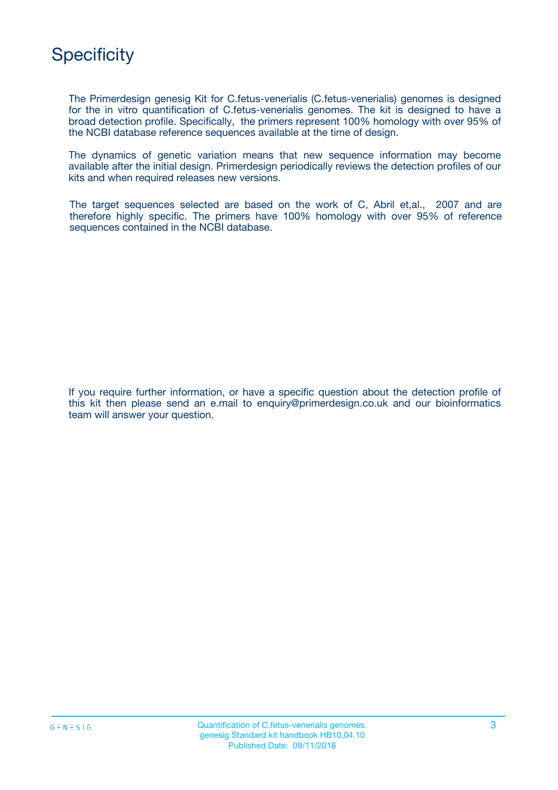

The Primerdesign genesig Kit for C.fetus-venerialis (C.fetus-venerialis) genomes is designed for the in vitro quantification of C.fetus-venerialis genomes. The kit is designed to have a broad detection profile. Specifically, the primers represent 100% homology with over 95% of the NCBI database reference sequences available at the time of design.

The dynamics of genetic variation means that new sequence information may become available after the initial design. Primerdesign periodically reviews the detection profiles of our kits and when required releases new versions.

The target sequences selected are based on the work of C, Abril et,al., 2007 and are therefore highly specific. The primers have 100% homology with over 95% of reference sequences contained in the NCBI database.

If you require further information, or have a specific question about the detection profile of this kit then please send an e.mail to enquiry@primerdesign.co.uk and our bioinformatics team will answer your question.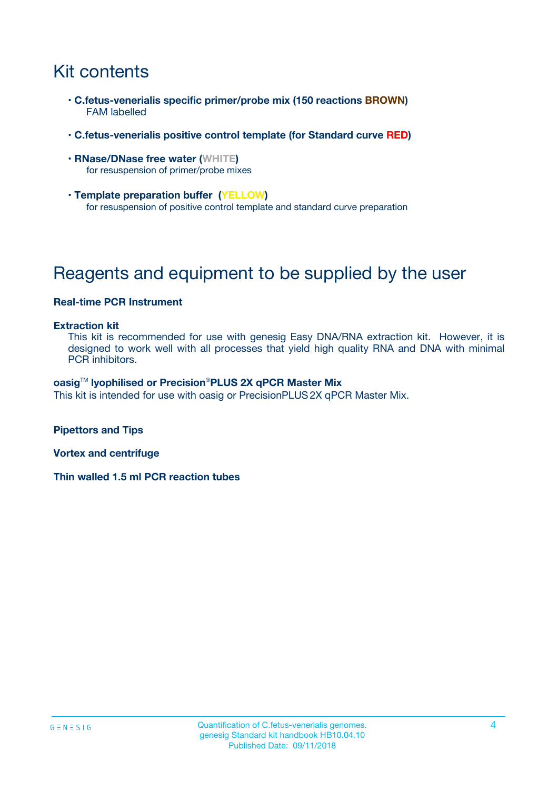# Kit contents

- **C.fetus-venerialis specific primer/probe mix (150 reactions BROWN)** FAM labelled
- **C.fetus-venerialis positive control template (for Standard curve RED)**
- **RNase/DNase free water (WHITE)** for resuspension of primer/probe mixes
- **Template preparation buffer (YELLOW)** for resuspension of positive control template and standard curve preparation

# Reagents and equipment to be supplied by the user

#### **Real-time PCR Instrument**

#### **Extraction kit**

This kit is recommended for use with genesig Easy DNA/RNA extraction kit. However, it is designed to work well with all processes that yield high quality RNA and DNA with minimal PCR inhibitors.

#### **oasig**TM **lyophilised or Precision**®**PLUS 2X qPCR Master Mix**

This kit is intended for use with oasig or PrecisionPLUS2X qPCR Master Mix.

**Pipettors and Tips**

**Vortex and centrifuge**

**Thin walled 1.5 ml PCR reaction tubes**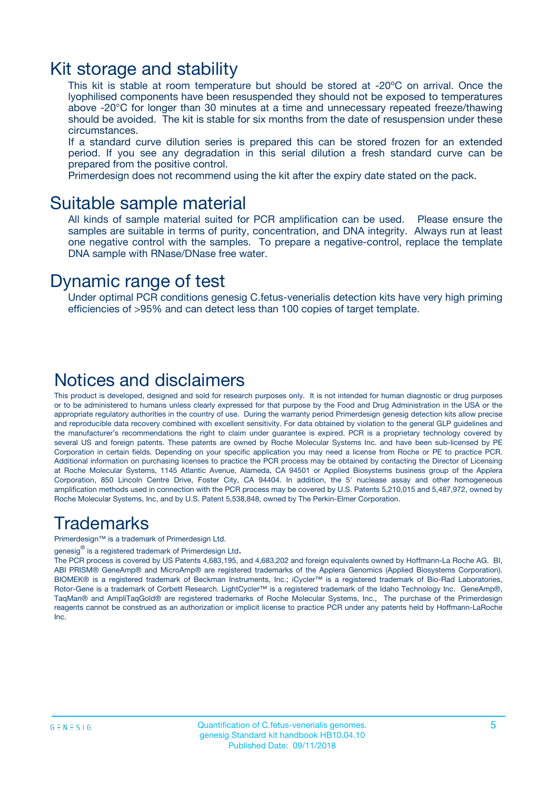### Kit storage and stability

This kit is stable at room temperature but should be stored at -20ºC on arrival. Once the lyophilised components have been resuspended they should not be exposed to temperatures above -20°C for longer than 30 minutes at a time and unnecessary repeated freeze/thawing should be avoided. The kit is stable for six months from the date of resuspension under these circumstances.

If a standard curve dilution series is prepared this can be stored frozen for an extended period. If you see any degradation in this serial dilution a fresh standard curve can be prepared from the positive control.

Primerdesign does not recommend using the kit after the expiry date stated on the pack.

### Suitable sample material

All kinds of sample material suited for PCR amplification can be used. Please ensure the samples are suitable in terms of purity, concentration, and DNA integrity. Always run at least one negative control with the samples. To prepare a negative-control, replace the template DNA sample with RNase/DNase free water.

### Dynamic range of test

Under optimal PCR conditions genesig C.fetus-venerialis detection kits have very high priming efficiencies of >95% and can detect less than 100 copies of target template.

### Notices and disclaimers

This product is developed, designed and sold for research purposes only. It is not intended for human diagnostic or drug purposes or to be administered to humans unless clearly expressed for that purpose by the Food and Drug Administration in the USA or the appropriate regulatory authorities in the country of use. During the warranty period Primerdesign genesig detection kits allow precise and reproducible data recovery combined with excellent sensitivity. For data obtained by violation to the general GLP guidelines and the manufacturer's recommendations the right to claim under guarantee is expired. PCR is a proprietary technology covered by several US and foreign patents. These patents are owned by Roche Molecular Systems Inc. and have been sub-licensed by PE Corporation in certain fields. Depending on your specific application you may need a license from Roche or PE to practice PCR. Additional information on purchasing licenses to practice the PCR process may be obtained by contacting the Director of Licensing at Roche Molecular Systems, 1145 Atlantic Avenue, Alameda, CA 94501 or Applied Biosystems business group of the Applera Corporation, 850 Lincoln Centre Drive, Foster City, CA 94404. In addition, the 5' nuclease assay and other homogeneous amplification methods used in connection with the PCR process may be covered by U.S. Patents 5,210,015 and 5,487,972, owned by Roche Molecular Systems, Inc, and by U.S. Patent 5,538,848, owned by The Perkin-Elmer Corporation.

### Trademarks

Primerdesign™ is a trademark of Primerdesign Ltd.

genesig $^\circledR$  is a registered trademark of Primerdesign Ltd.

The PCR process is covered by US Patents 4,683,195, and 4,683,202 and foreign equivalents owned by Hoffmann-La Roche AG. BI, ABI PRISM® GeneAmp® and MicroAmp® are registered trademarks of the Applera Genomics (Applied Biosystems Corporation). BIOMEK® is a registered trademark of Beckman Instruments, Inc.; iCycler™ is a registered trademark of Bio-Rad Laboratories, Rotor-Gene is a trademark of Corbett Research. LightCycler™ is a registered trademark of the Idaho Technology Inc. GeneAmp®, TaqMan® and AmpliTaqGold® are registered trademarks of Roche Molecular Systems, Inc., The purchase of the Primerdesign reagents cannot be construed as an authorization or implicit license to practice PCR under any patents held by Hoffmann-LaRoche Inc.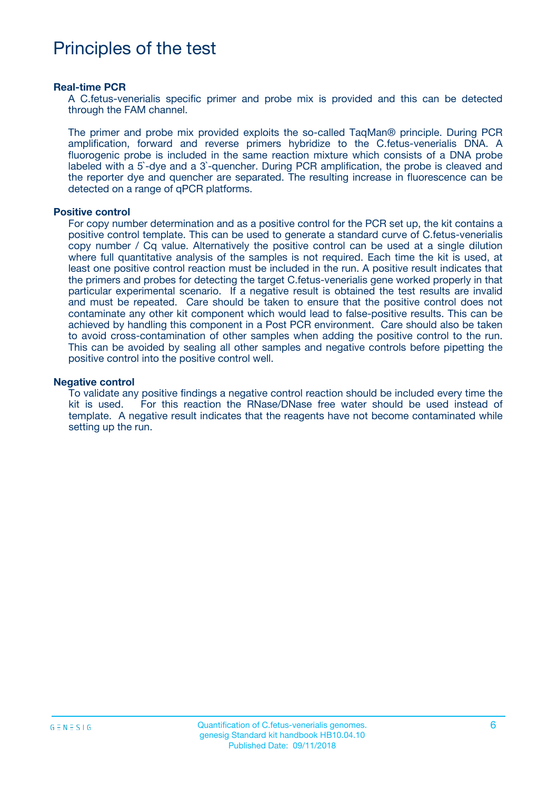# Principles of the test

#### **Real-time PCR**

A C.fetus-venerialis specific primer and probe mix is provided and this can be detected through the FAM channel.

The primer and probe mix provided exploits the so-called TaqMan® principle. During PCR amplification, forward and reverse primers hybridize to the C.fetus-venerialis DNA. A fluorogenic probe is included in the same reaction mixture which consists of a DNA probe labeled with a 5`-dye and a 3`-quencher. During PCR amplification, the probe is cleaved and the reporter dye and quencher are separated. The resulting increase in fluorescence can be detected on a range of qPCR platforms.

#### **Positive control**

For copy number determination and as a positive control for the PCR set up, the kit contains a positive control template. This can be used to generate a standard curve of C.fetus-venerialis copy number / Cq value. Alternatively the positive control can be used at a single dilution where full quantitative analysis of the samples is not required. Each time the kit is used, at least one positive control reaction must be included in the run. A positive result indicates that the primers and probes for detecting the target C.fetus-venerialis gene worked properly in that particular experimental scenario. If a negative result is obtained the test results are invalid and must be repeated. Care should be taken to ensure that the positive control does not contaminate any other kit component which would lead to false-positive results. This can be achieved by handling this component in a Post PCR environment. Care should also be taken to avoid cross-contamination of other samples when adding the positive control to the run. This can be avoided by sealing all other samples and negative controls before pipetting the positive control into the positive control well.

#### **Negative control**

To validate any positive findings a negative control reaction should be included every time the kit is used. For this reaction the RNase/DNase free water should be used instead of template. A negative result indicates that the reagents have not become contaminated while setting up the run.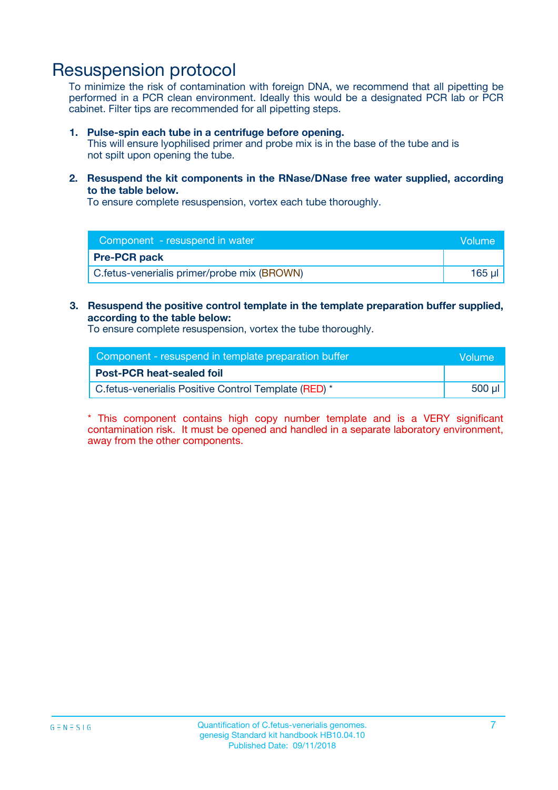## Resuspension protocol

To minimize the risk of contamination with foreign DNA, we recommend that all pipetting be performed in a PCR clean environment. Ideally this would be a designated PCR lab or PCR cabinet. Filter tips are recommended for all pipetting steps.

#### **1. Pulse-spin each tube in a centrifuge before opening.**

This will ensure lyophilised primer and probe mix is in the base of the tube and is not spilt upon opening the tube.

**2. Resuspend the kit components in the RNase/DNase free water supplied, according to the table below.**

To ensure complete resuspension, vortex each tube thoroughly.

| Component - resuspend in water              | <b>Nolume</b> |
|---------------------------------------------|---------------|
| <b>Pre-PCR pack</b>                         |               |
| C.fetus-venerialis primer/probe mix (BROWN) | 165 ul        |

### **3. Resuspend the positive control template in the template preparation buffer supplied, according to the table below:**

To ensure complete resuspension, vortex the tube thoroughly.

| Component - resuspend in template preparation buffer  | lVolume' |
|-------------------------------------------------------|----------|
| <b>Post-PCR heat-sealed foil</b>                      |          |
| C. fetus-venerialis Positive Control Template (RED) * | 500 µl   |

\* This component contains high copy number template and is a VERY significant contamination risk. It must be opened and handled in a separate laboratory environment, away from the other components.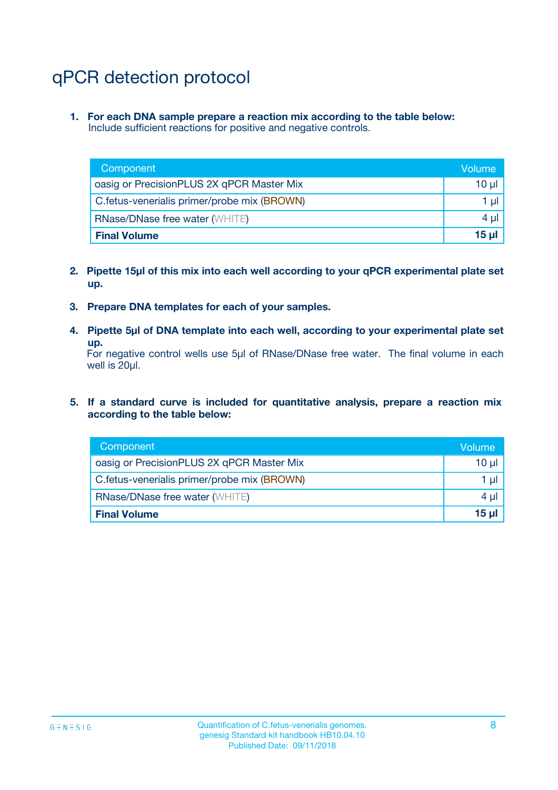# qPCR detection protocol

**1. For each DNA sample prepare a reaction mix according to the table below:** Include sufficient reactions for positive and negative controls.

| Component                                   | Volume   |
|---------------------------------------------|----------|
| oasig or PrecisionPLUS 2X qPCR Master Mix   | 10 $\mu$ |
| C.fetus-venerialis primer/probe mix (BROWN) | 1 $\mu$  |
| <b>RNase/DNase free water (WHITE)</b>       | $4 \mu$  |
| <b>Final Volume</b>                         | $15 \mu$ |

- **2. Pipette 15µl of this mix into each well according to your qPCR experimental plate set up.**
- **3. Prepare DNA templates for each of your samples.**
- **4. Pipette 5µl of DNA template into each well, according to your experimental plate set up.**

For negative control wells use 5µl of RNase/DNase free water. The final volume in each well is 20µl.

**5. If a standard curve is included for quantitative analysis, prepare a reaction mix according to the table below:**

| Component                                   | Volume          |
|---------------------------------------------|-----------------|
| oasig or PrecisionPLUS 2X qPCR Master Mix   | 10 µl           |
| C.fetus-venerialis primer/probe mix (BROWN) | 1 µI            |
| <b>RNase/DNase free water (WHITE)</b>       | $4 \mu$         |
| <b>Final Volume</b>                         | 15 <sub>µ</sub> |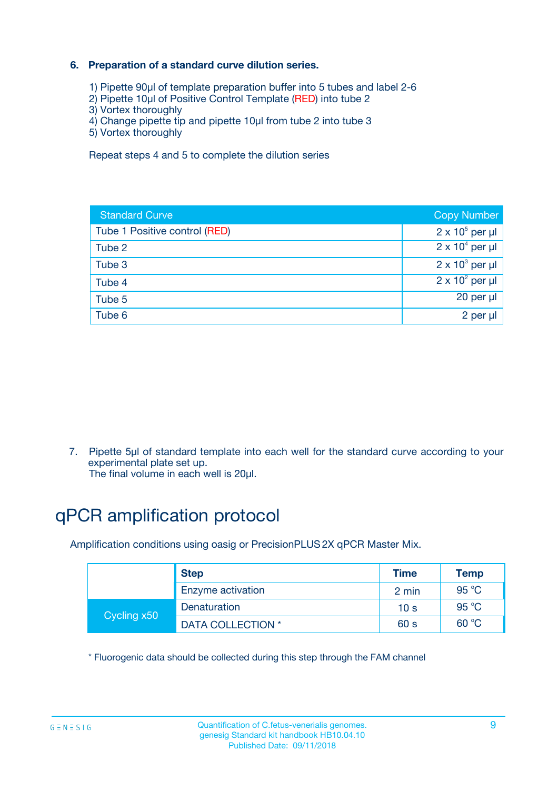### **6. Preparation of a standard curve dilution series.**

- 1) Pipette 90µl of template preparation buffer into 5 tubes and label 2-6
- 2) Pipette 10µl of Positive Control Template (RED) into tube 2
- 3) Vortex thoroughly
- 4) Change pipette tip and pipette 10µl from tube 2 into tube 3
- 5) Vortex thoroughly

Repeat steps 4 and 5 to complete the dilution series

| <b>Standard Curve</b>         | <b>Copy Number</b>     |
|-------------------------------|------------------------|
| Tube 1 Positive control (RED) | $2 \times 10^5$ per µl |
| Tube 2                        | $2 \times 10^4$ per µl |
| Tube 3                        | $2 \times 10^3$ per µl |
| Tube 4                        | $2 \times 10^2$ per µl |
| Tube 5                        | 20 per µl              |
| Tube 6                        | 2 per ul               |

7. Pipette 5µl of standard template into each well for the standard curve according to your experimental plate set up.

The final volume in each well is 20µl.

# qPCR amplification protocol

Amplification conditions using oasig or PrecisionPLUS2X qPCR Master Mix.

|             | <b>Step</b>       | <b>Time</b>     | Temp    |
|-------------|-------------------|-----------------|---------|
|             | Enzyme activation | 2 min           | 95 °C   |
| Cycling x50 | Denaturation      | 10 <sub>s</sub> | 95 $°C$ |
|             | DATA COLLECTION * | 60 s            | 60 °C   |

\* Fluorogenic data should be collected during this step through the FAM channel